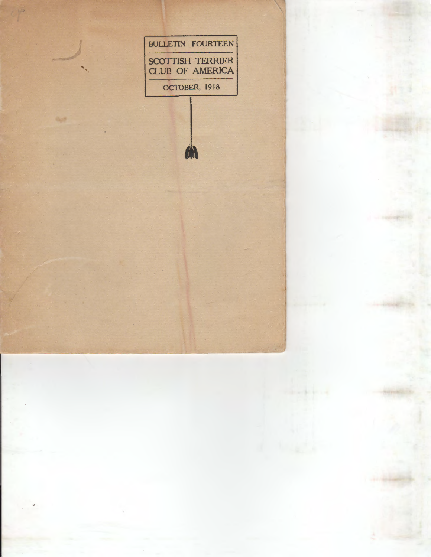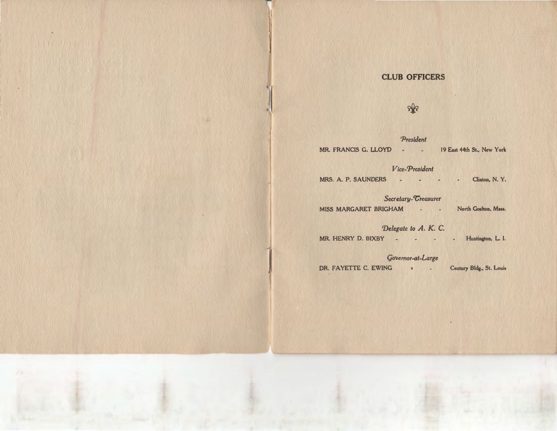## **CLUB OFFICERS**

# • ¥

*'President* MR. FRANCIS G. LLOYD - 19 East 44th St., New York

### *Vice-President*

MRS. A. P. SAUNDERS - - - - - Clinton, N. Y.

**Secretary-Treasurer** MISS MARGARET BRIGHAM - - North Grafton, Mass.

*Delegate to A. K. C.* MR. HENRY D. BIXBY - - - - - Huntington, L. I.

**Governor-at-Large** 

DR. FAYETTE C. EWING • Century Bldg., St. Louis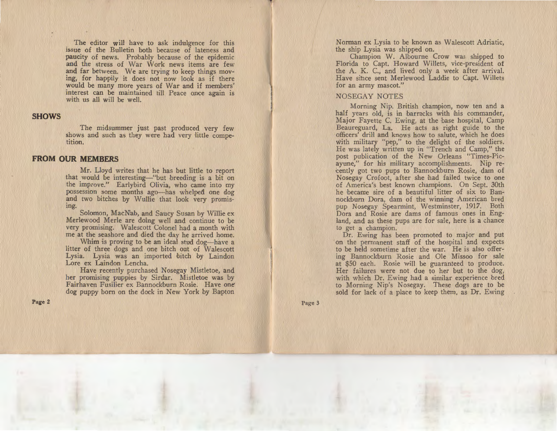The editor will have to ask indulgence for this issue of the Bulletin both because of lateness and paucity of news. Probably because of the epidemic and the stress of War Work news items are few and far between. We are trying to keep things moving, for happily it does not now look as if there would be many more years of War and if members' interest can be maintained till Peace once again is with us all will be well.

#### **SHOWS**

The midsummer just past produced very few shows and such as they were had very little competition.

#### **FROM OUR MEMBERS**

Mr. Lloyd writes that he has but little to report that would be interesting-"but breeding is a bit on the improve." Earlybird Olivia, who came into my possession some months ago-has whelped one dog and two bitches by Wullie that look very promising.

Solomon, MacN!ab, and Saucy Susan by Willie ex Merlewood Merle are doing well and continue to be very promising. Walescott Colonel had a month with me at the seashore and died the day he arrived home.

Whim is proving to be an ideal stud dog—have a litter of three dogs and one bitch out of Walescott Lysia. Lysia was an imported bitch by Laindon Lore ex Laindon Lencha.

 Have recently purchased Nosegay Mistletoe, and her promising puppies by Sirdar. Mistletoe was by Fairhaven Fusilier ex Bannockburn Rosie. Have one· dog puppy born on the dock in New York by Bapton

Page 2

Norman ex Lysia to be known as Walescott Adriatic, the ship Lysia was shipped on.

Champion W. Albourne Crow was shipped to Florida to Capt. Howard Willets, vice-president of the A. K. C., and lived only a week after arrival. Have since sent Merlewood Laddie to Capt. Willets for an army mascot."

#### NOSEGAY NOTES

Morning Nip. British champion, now ten and a half years old, is in barracks with his commander, Major Fayette C. Ewing, at the base hospital, Camp Beaureguard, La. He acts as right guide to the officers' drill and knows how to salute, which he does with military "pep," to the delight of the soldiers. He was lately written up in "Trench and Camp," the post publication of the New Orleans "Times-Picayune," for his military accomplishments. Nip recently got two pups to Bannockburn Rosie, dam of Nosegay Crofoot, after she had failed twice to one of America's best known champions. On Sept. 30th he became sire of a beautiful litter of six to Bannockburn Dora, dam of the winning American bred pup Nosegay Spearmint, Westminster, 1917. Both Dora and Rosie are dams of famous ones in England, and as these pups are for sale, here is a chance to get a champion.

Dr. Ewing has been promoted to major and put on the permanent staff of the hospital and expects to be held sometime after the war. He is also offering Bannockburn Rosie and Ole Missoo for sale at \$50 each. Rosie will be guaranteed to produce. Her failures were not due to her but to the dog, with which Dr. Ewing had a similar experience bred to Morning Nip's Nosegay. These dogs are to be sold for lack of a place to keep them, as Dr. Ewing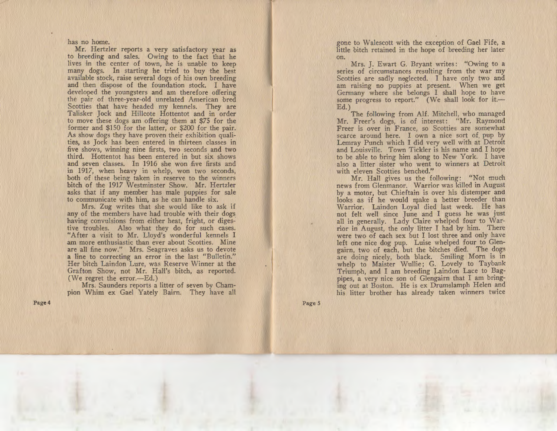has no home.

Mr. Hertzler reports a very satisfactory year as to breeding and sales. Owing to the fact that he lives in the center of town, he is unable to keep many dogs. In starting he tried to buy the best available stock, raise several dogs of his own breeding and then dispose of the foundation stock. I have developed the youngsters and am therefore offering the pair of three-year-old unrelated American bred Scotties that have headed my kennels. They are Talisker Jock and Hillcote Hottentot and in order to move these dogs am offering them at \$75 for the former and \$150 for the latter, or \$200 for the pair. As show dogs they have proven their exhibition qualities, as Jock has been entered in thirteen classes in five shows, winning nine firsts, two seconds and two third. Hottentot has been entered in but six shows and seven classes. In 1916 she won five firsts and in 1917, when heavy in whelp, won two seconds, both of these being taken in reserve to the winners bitch of the 1917 Westminster Show. Mr. Hertzler asks that if any member has male puppies for sale to communicate with him, as he can handle six.

Mrs. Zug writes that she would like to ask if any of the members have had trouble with their dogs having convulsions from either heat, fright, or digestive troubles. Also what thev do for such cases. "After a visit to Mr. Lloyd's wonderful kennels I am more enthusiastic than ever about Scotties. Mine are all fine now." Mrs. Seagraves asks us to devote a line to correcting an error in the last "Bulletin." Her bitch Laindon Lure, was Reserve Winner at the Grafton Show, not Mr. HaH's bitch, as reported. (We regret the error. $-Ed.$ )

Mrs. Saunders reports a litter of seven by Champion Whim ex Gael Yately Bairn. They have all

Page4

gone to Walescott with the exception of Gael Fife, a little bitch retained in the hope of breeding her later on.

Mrs. J. Ewart G. Bryant writes: "Owing to a series of circumstances resuiting from the war my Scotties are sadly neglected. I have only two and am raising no puppies at present. When we get Germany where she belongs I shall hope to have some progress to report." (We shall look for it.-Ed.)

The following from AI£. Mitchell, who managed Mr. Freer's dogs, is of interest: "Mr. Raymond Freer is over in France, so Scotties are somewhat scarce around here. I own a nice sort of. pup by Lemray Punch which I did very well with at Detroit and Louisville. Town Tickler is his name and I hope to be able to bring him along to New York. I have also a litter sister who went to winners at Detroit with eleven Scotties benched."

Mr. Hall gives us the following: "Not much news from Glenmanor. Warrior was killed in August by a motor, but Chieftain is over his distemper and looks as if he would make a better breeder than Warrior. Laindon Loyal died last week. He has not felt well since June and I guess he was just all in generally. Lady Claire whelped four to Warrior in August, the only litter I had by him. There were two of each sex but I lost three and only have left one nice dog pup. Luise whelped four to Glengairn, two of each, but the bitches died. The dogs are doing nicely, both black. Smiling Morn is in whelp to Maister Wullie; G. Lovely to Taybank Triumph, and I am breeding Laindon Lace to Bagpipes, a very nice son of Glengairn that I am bringing out at Boston. He is ex Drumslamph Helen and his litter brother has already taken winners twice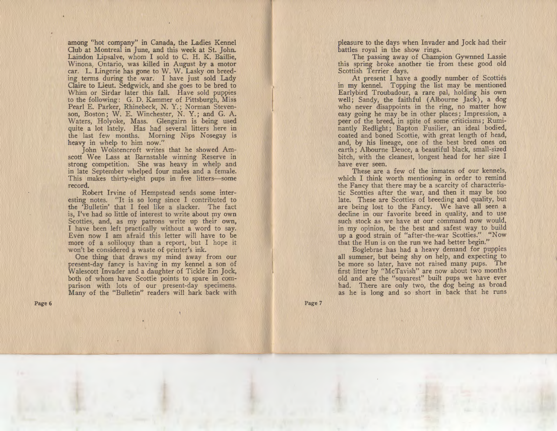among "hot company" in Canada, the Ladies Kennel Club at Montreal in June, and this week at St. John. Laindon Lipsalve, whom I sold to C. H. K. Baillie, Winona, Ontario, was killed in August by a motor car. L. Lingerie has gone to W. W. Lasky on breeding terms during the war. I have just sold Lady Claire to Lieut. Sedgwick, and she goes to be bred to Whim or Sirdar later this fall. Have sold puppies to bhe following: G. D. Kammer of Pittsburgh, Miss Pearl E. Parker, Rhinebeck, N. Y.; Norman Stevenson, Boston; W. E. Winchester, N. Y.; and G. A. Waters, Holyoke, Mass. Glengairn is being used quite a lot lately. Has had several litters here in the last few months. Morning Nips Nosegay is heavy in whelp to him now."

John Wolstencroft writes that he showed Amscott Wee Lass at Barnstable winning Reserve in strong competition. She was heavy in whelp and in late September whelped four males and a female. This makes thirty-eight pups in five litters-some record.

Robert Irvine of Hempstead sends some interesting notes. "It is so long since I contributed to the 'Bulletin' that I feel like a slacker. The fact is, I've had so little of interest to write about my own Scotties, and, as my patrons write up their own, I have been left practically without a word to say. Even now I am afraid this letter will have to be more of a soliloquy than a report, but I hope it won't be considered a waste of printer's ink.

One thing that draws my mind away from our present-day fancy is having in my kennel a son of Walescott Invader and a daughter of Tickle Em Jock, both of whom have Scottie points to spare in comparison with lots of our present-day specimens. Many of the "Bulletin" readers will hark back with

Page 6

pleasure to the days when Invader and Jock had their battles royal in the show rings.

The passing away of Champion Gywnned Lassie this spring broke another tie from these good old Scottish Terrier days.

At present I have a goodly number of Scotties in my kennel. Topping the list may be mentioned Earlybird Troubadour, a rare pal, holding his own well; Sandy, the faithful (Albourne Jack), a dog who never disappoints in the ring, no matter how easy going he may be in other places ; Impression, a peer of the breed, in spite of some criticisms; Ruminantly Redlight; Bapton Fusilier, an ideal bodied, coated and boned Scottie, with great length of head, and, by his lineage, one of the best bred ones on earth; Albourne Deuce, a beautiful black, small-sized bitch, with the cleanest, longest head for her size I have ever seen.

These are a few of the inmates of our kennels, which I think worth mentioning in order to remind the Fancy that there may be a scarcity of characteristic Scotties after the war, and then it may be too late. These are Scotties of breeding and quality, but are being lost to the Fancy. We have all seen a decline in our favorite breed in quality, and to use such stock as we have at our command now would, in my opinion, be the best and safest way to build up a good strain of "after-the-war Scotties." "Now that the Hun is on the run we had better begin."

Boglebrae has had a heavy demand for puppies all summer, but being shy on help, and expecting to be more so later, have not raised many pups. The first litter by "McTavish" are now about two months old and are the "squarest" built pups we have ever had. There are only two, the dog being as broad as he is long and so short in back that he runs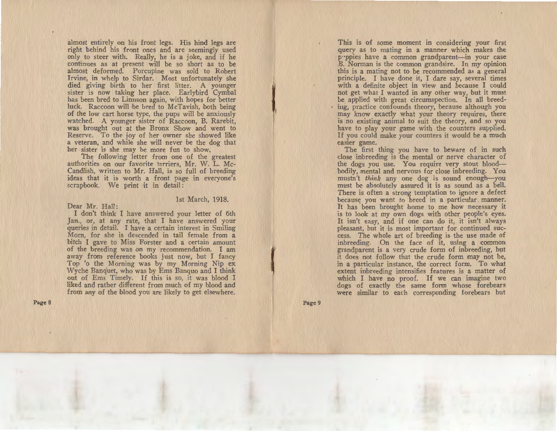almost entirely on his front legs. His hind legs are right behind his front ones and are seemingly used only to steer with. Really, he is a joke, and if he continues as at present will be so short as to be almost deformed. Porcupine was sold to Robert Irvine, in whelp to Sirdar. Most unfortunately she died giving birth to her first litter. A younger sister is now taking her place. Earlybird Cymbal has been bred to Linnson again, with hopes for better luck. Raccoon will be bred to McTavish, both being of the low cart horse type, the pups will be anxiously watched. A younger sister of Raccoon, B. Rarebit, was brought out at the Bronx Show and went to Reserve. To the joy of her owner she showed like a veteran, and while she will never be the dog that her sister is she mav be more fun to show.

The following letter from one of the greatest authorities on our favorite terriers, Mr. W. L. Mc-Candlish, written to Mr. Hall, is so full of breeding ideas that it is worth a front page in everyone's scrapbook. We print it in detail:

#### 1st March, 1918.

Dear Mr. Hall:

I don't think I have answered your letter of 6th Jan., or, at any rate, that I have answered your queries in detail. I have a certain interest in Smiling Morn, for she is descended in tail female from a bitch I gave to Miss Forster and a certain amount of the breeding was on my recommendation. I am away from reference books just now, but I fancy Top 'o the Morning was by my Morning Nip ex \i\Tyche Banquet, who was by Ems Banquo and I think out of Ems Timely. If this is so, it was blood I liked and rather different from much of my blood and from any of the blood you are likely to get elsewhere.

Page 8

This is of some moment in considering your first query as to mating in a manner which makes the puppies have a common grandparent-in your case B. Norman is the common grandsire. In my opinion this is a mating not to be recommended as a general principle. I have done it, I dare say, several times with a definite object in view and because I could not get what I wanted in any other way, hut it must be applied with great circumspection. In all breeding, practice confounds theory, because although you may know exactly what your theory requires, there is no existing animal to suit the theory, and so you have to play your game with the counters supplied. If you could make your counters it would be a much easier game.

The first thing you have to beware of in such close inbreeding is the mental or nerve character of the dogs you use. You require very stout bloodbodily, mental and nervous for close inbreeding. You mustn't *think* any one dog is sound enough-you must be absolutely assured it is as sound as a bell. There is often a strong temptation to ignore a defect because you want to breed in a particular manner. It has been brought home to me how necessary it is to look at my own dogs with other people's eyes. It isn't easy, and if one can do it, it isn't always pleasant, but it is most important for continued success. The whole art of breeding is the use made of inbreeding. On the face of it, using a common grandparent is a very crude form of inbreeding, but it does not follow that the crude form may not be, in a particular instance, the correct form. To what extent inbreeding intensifies features is a matter of which I have no proof. If we can imagine two dogs of exactly the same form whose forebears were similar to each corresponding forebears but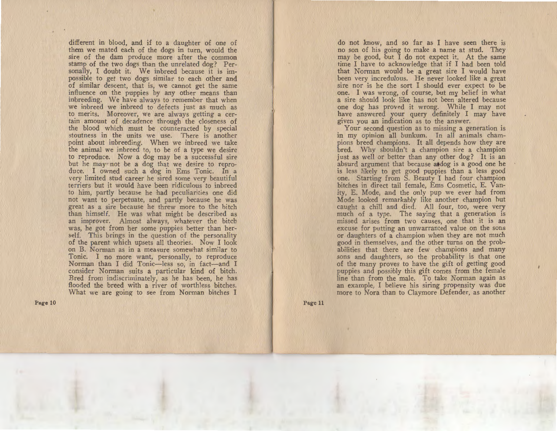different in blood, and if to a daughter of one of them we mated each of the dogs in turn, would the sire of the dam produce more after the common stamp of the two dogs than the unrelated dog? Personally, I doubt it. We inbreed because it is impossible to get two dogs similar to each other and of similar descent, that is, we cannot get the same influence on the puppies by any other means than inlbreeding. We have always to remember that when we inbreed we inbreed to defects just as much as to merits. Moreover, we are always getting a certain amount of decadence through the closeness of the blood which must be counteracted by special stoutness in the units we use. There is another point about inbreeding. When we inbreed we take the animal we inbreed to, to be of a type we desire to reproduce. Now a dog may be a successful sire but he may not be a dog that we desire to reproduce. I owned such a dog in Ems Tonic. In a very limited stud career he sired some very beautiful terriers but it would have been ridiculous to inbreed to him, partly because he had peculiarities one did not want to perpetuate, and partly because he was great as a sire because he threw more to the bitch than himself. He was what might be described as an improver. Almost always, whatever the bitch was, he got from her some puppies better than herself. This brings in the question of the personality of the parent which upsets all theories. Now I look on B. Norman as in a measure somewhat similar to Tonic. I no more want, personally, to reproduce Norman than I did Tonic-less so, in fact-and I consider Norman suits a particular kind of bitch. Bred from indiscriminately, as he has been, he has flooded the breed with a river of worthless bitches. What we are going to see from Norman bitches I

Page 10

do not know, and so far as I have seen there is no son of his going to make a name at stud. They may be good, but I do not expect it. At the same time I have to acknowledge that if I had been told that Norman would be a great sire I would have been very incredulous. He never looked like a great sire nor is he the sort I should ever expect to be one. I was wrong, of course, but my belief in what a sire should look like has not been altered because one dog has proved it wrong. While I may not have answered your query definitely I may have given you an indication as to the answer.

Your second question as to missing a generation is in my opinion all bunkum. In all animals champions breed champions. It all depends how they are bred. Why shouldn't a champion sire a champion just as well or better than any other dog? It is an absurd argument that because atdog is a good one he is less likely to get good puppies than a less good one. Starting from S. Beauty I had four champion bitches in direct tail female, Ems Cosmetic, E. Vanity, E. Mode, and the only pup we ever had from Mode looked remarkably like another champion hut caught a chill and died. All four, too, were very much of a type. The saying that a generation is missed arises from two causes, one that it is an excuse for putting an unwarranted value on the sons or daughters of a champion when they are not much good in themselves, and the other turns on the probabilities that there are few champions and many sons and daughters, so the probability is that one of the many proves to have the gift of getting good puppies and possibly this gift comes from the female line than from the male. To take Norman again as an example, I believe his siring propensity was due more to Nora than to Claymore Defender, as another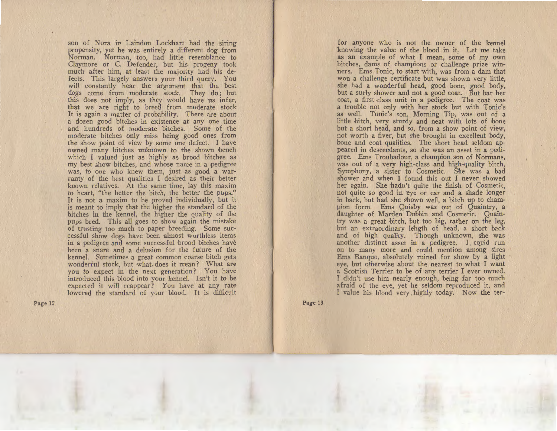son of Nora in Laindon Lockhart had the siring propensity, yet he was entirely a different dog from Norman. Norman, too, had little resemblance to Claymore or C. Defender, but his progeny took much after him, at least the majority had his defects. This largely answers your third query. You will constantly hear the argument that the best dogs come from moderate stock. They do; but this does not imply, as they would have us infer, that we are right to breed from moderate stock It is again a matter of probability. There are about a dozen good bitches in existence at any one time and hundreds of moderate bitches. Some of the moderate bitches only miss being good ones from the show point of view by some one defect. I have owned many bitches unknown to the shown bench which I valued just as highly as brood bitches as my best show bitches, and whose name in a pedigree was, to one who knew them, just as good a warranty of the best qualities I desired as their better known relatives. At the same time, lay this maxim to heart, "the better the bitch, the better the pups." It is not a maxim to be proved individually, but it is meant to imply that the higher the standard of the bitches in the kennel, the higher the quality of the pups bred. This all goes to show again the mistake of trusting too much to paper breeding. Some successful show dogs have been almost worthless items in a pedigree and some successful brood bitches have been a snare and a delusion for the future of the kennel. Sometimes a great common coarse bitch gets wonderful stock, but what. does it mean ? What are you to expect in the next generation? You have introduced this blood into your kennel. Isn't it to be expected it will reappear? You have at any rate lowered the standard of your blood. It is difficult

Page 12

for anyone who is not the owner of the kennel knowing the value of the blood in it, Let me take as an example of what I mean, some of my own bitches, dams of champions or challenge prize winners. Ems Tonic, to start with, was from a dam that won a challenge certificate but was shown very little, she had a wonderful head, good bone, good body, but a surly shower and not a good coat. But bar her coat, a first-class unit in a pedigree. The coat a trouble not only with her stock but with Tonic's as well. Tonic's son, Morning Tip, was out of a little bitch, very sturdy and neat with lots of bone but a short head, and so, from a show point of view, not worth a fiver, but she brought in excellent body, bone and coat qualities. The short head seldom appeared in descendants, so she was an asset in a pedigree. Ems Troubadour, a champion son of Normans, was out of a very high-class and high-quality bitch, Symphony, a sister to Cosmetic. She was a bad shower and when I found this out I never showed her again. She hadn't quite the finish of Cosmetic, not quite so good in eye or ear and a shade longer in back, but had she shown well, a bitch up to champion form. Ems Quisby was out of Quaintry, a daughter of Marden Dobbin and Cosmetic. Quaintry was a great bitch, but too big, rather on the leg, but an extraordinary lehgth of head, a short back and of high quality. Though unknown, she was another distinct asset in a pedigree. I could run on to many more and could mention among sires Ems Banquo, absolutely ruined for show by a light eye, but otherwise about the nearest to what I want a Scottish Terrier to be of any terrier I ever owned. T didn't use him nearly enough, being far too much afraid of the eye, yet he seldom reproduced it, and I value his blood very highly today. Now the ter-